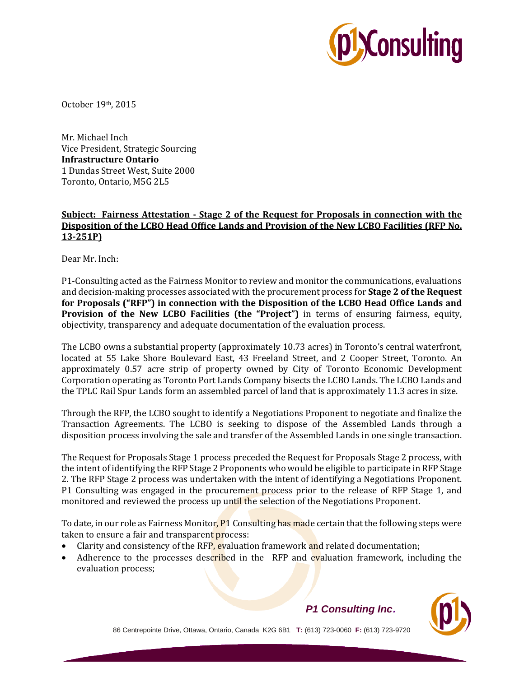

October 19th, 2015

Mr. Michael Inch Vice President, Strategic Sourcing **Infrastructure Ontario**  1 Dundas Street West, Suite 2000 Toronto, Ontario, M5G 2L5

## **Subject: Fairness Attestation - Stage 2 of the Request for Proposals in connection with the Disposition of the LCBO Head Office Lands and Provision of the New LCBO Facilities (RFP No. 13-251P)**

Dear Mr. Inch:

P1-Consulting acted as the Fairness Monitor to review and monitor the communications, evaluations and decision-making processes associated with the procurement process for **Stage 2 of the Request for Proposals ("RFP") in connection with the Disposition of the LCBO Head Office Lands and Provision of the New LCBO Facilities (the "Project")** in terms of ensuring fairness, equity, objectivity, transparency and adequate documentation of the evaluation process.

The LCBO owns a substantial property (approximately 10.73 acres) in Toronto's central waterfront, located at 55 Lake Shore Boulevard East, 43 Freeland Street, and 2 Cooper Street, Toronto. An approximately 0.57 acre strip of property owned by City of Toronto Economic Development Corporation operating as Toronto Port Lands Company bisects the LCBO Lands. The LCBO Lands and the TPLC Rail Spur Lands form an assembled parcel of land that is approximately 11.3 acres in size.

Through the RFP, the LCBO sought to identify a Negotiations Proponent to negotiate and finalize the Transaction Agreements. The LCBO is seeking to dispose of the Assembled Lands through a disposition process involving the sale and transfer of the Assembled Lands in one single transaction.

The Request for Proposals Stage 1 process preceded the Request for Proposals Stage 2 process, with the intent of identifying the RFP Stage 2 Proponents who would be eligible to participate in RFP Stage 2. The RFP Stage 2 process was undertaken with the intent of identifying a Negotiations Proponent. P1 Consulting was engaged in the procurement process prior to the release of RFP Stage 1, and monitored and reviewed the process up until the selection of the Negotiations Proponent.

To date, in our role as Fairness Monitor, P1 Consulting has made certain that the following steps were taken to ensure a fair and transparent process:

- Clarity and consistency of the RFP, evaluation framework and related documentation;
- Adherence to the processes described in the RFP and evaluation framework, including the evaluation process;

86 Centrepointe Drive, Ottawa, Ontario, Canada K2G 6B1 **T:** (613) 723-0060 **F:** (613) 723-9720

## *P1 Consulting Inc*.